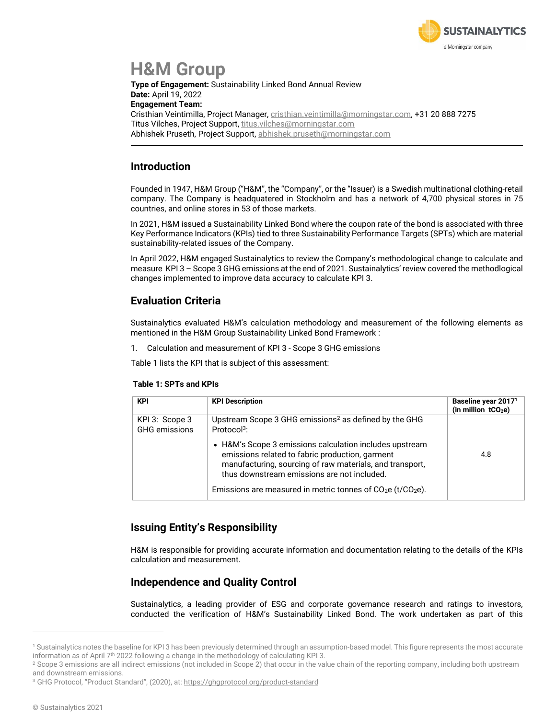

# **H&M Group**

**Type of Engagement:** Sustainability Linked Bond Annual Review **Date:** April 19, 2022 **Engagement Team:** Cristhian Veintimilla, Project Manager, [cristhian.veintimilla@morningstar.com,](mailto:cristhian.veintimilla@morningstar.com) +31 20 888 7275 Titus Vilches, Project Support[, titus.vilches@morningstar.com](mailto:titus.vilches@morningstar.com) Abhishek Pruseth, Project Support, [abhishek.pruseth@morningstar.com](mailto:abhishek.pruseth@morningstar.com)

#### **Introduction**

Founded in 1947, H&M Group ("H&M", the "Company", or the "Issuer) is a Swedish multinational clothing-retail company. The Company is headquatered in Stockholm and has a network of 4,700 physical stores in 75 countries, and online stores in 53 of those markets.

In 2021, H&M issued a Sustainability Linked Bond where the coupon rate of the bond is associated with three Key Performance Indicators (KPIs) tied to three Sustainability Performance Targets (SPTs) which are material sustainability-related issues of the Company.

In April 2022, H&M engaged Sustainalytics to review the Company's methodological change to calculate and measure KPI 3 – Scope 3 GHG emissions at the end of 2021. Sustainalytics' review covered the methodlogical changes implemented to improve data accuracy to calculate KPI 3.

#### **Evaluation Criteria**

Sustainalytics evaluated H&M's calculation methodology and measurement of the following elements as mentioned in the H&M Group Sustainability Linked Bond Framework :

1. Calculation and measurement of KPI 3 - Scope 3 GHG emissions

Table 1 lists the KPI that is subject of this assessment:

#### **Table 1: SPTs and KPIs**

| <b>KPI</b>                             | <b>KPI Description</b>                                                                                                                                                                                                                                                                | Baseline year 2017 <sup>1</sup><br>(in million $tCO2e$ ) |
|----------------------------------------|---------------------------------------------------------------------------------------------------------------------------------------------------------------------------------------------------------------------------------------------------------------------------------------|----------------------------------------------------------|
| KPI 3: Scope 3<br><b>GHG</b> emissions | Upstream Scope 3 GHG emissions <sup>2</sup> as defined by the GHG<br>Protocol <sup>3</sup> :                                                                                                                                                                                          |                                                          |
|                                        | • H&M's Scope 3 emissions calculation includes upstream<br>emissions related to fabric production, garment<br>manufacturing, sourcing of raw materials, and transport,<br>thus downstream emissions are not included.<br>Emissions are measured in metric tonnes of $CO2e (t/CO2e)$ . | 4.8                                                      |

#### **Issuing Entity's Responsibility**

H&M is responsible for providing accurate information and documentation relating to the details of the KPIs calculation and measurement.

#### **Independence and Quality Control**

Sustainalytics, a leading provider of ESG and corporate governance research and ratings to investors, conducted the verification of H&M's Sustainability Linked Bond. The work undertaken as part of this

<sup>1</sup> Sustainalytics notes the baseline for KPI 3 has been previously determined through an assumption-based model. This figure represents the most accurate information as of April  $7<sup>th</sup>$  2022 following a change in the methodology of calculating KPI 3.

<sup>&</sup>lt;sup>2</sup> Scope 3 emissions are all indirect emissions (not included in Scope 2) that occur in the value chain of the reporting company, including both upstream and downstream emissions.

<sup>&</sup>lt;sup>3</sup> GHG Protocol, "Product Standard", (2020), at: <https://ghgprotocol.org/product-standard>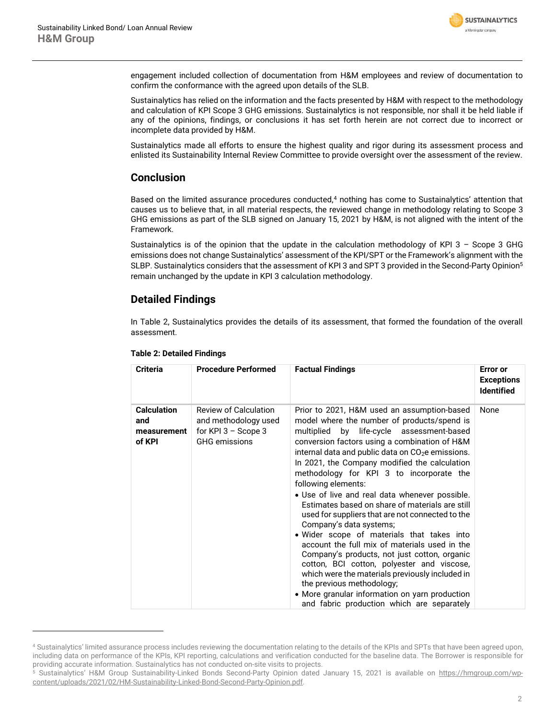

engagement included collection of documentation from H&M employees and review of documentation to confirm the conformance with the agreed upon details of the SLB.

Sustainalytics has relied on the information and the facts presented by H&M with respect to the methodology and calculation of KPI Scope 3 GHG emissions. Sustainalytics is not responsible, nor shall it be held liable if any of the opinions, findings, or conclusions it has set forth herein are not correct due to incorrect or incomplete data provided by H&M.

Sustainalytics made all efforts to ensure the highest quality and rigor during its assessment process and enlisted its Sustainability Internal Review Committee to provide oversight over the assessment of the review.

#### **Conclusion**

Based on the limited assurance procedures conducted,<sup>4</sup> nothing has come to Sustainalytics' attention that causes us to believe that, in all material respects, the reviewed change in methodology relating to Scope 3 GHG emissions as part of the SLB signed on January 15, 2021 by H&M, is not aligned with the intent of the Framework.

Sustainalytics is of the opinion that the update in the calculation methodology of KPI 3 – Scope 3 GHG emissions does not change Sustainalytics' assessment of the KPI/SPT or the Framework's alignment with the SLBP. Sustainalytics considers that the assessment of KPI 3 and SPT 3 provided in the Second-Party Opinion<sup>5</sup> remain unchanged by the update in KPI 3 calculation methodology.

#### **Detailed Findings**

In Table 2, Sustainalytics provides the details of its assessment, that formed the foundation of the overall assessment.

| <b>Criteria</b>                                    | <b>Procedure Performed</b>                                                                            | <b>Factual Findings</b>                                                                                                                                                                                                                                                                                                                                                                                                                                                                                                                                                                                                                                                                                                                                                                                                                                                                                                                        | <b>Error or</b><br><b>Exceptions</b><br><b>Identified</b> |
|----------------------------------------------------|-------------------------------------------------------------------------------------------------------|------------------------------------------------------------------------------------------------------------------------------------------------------------------------------------------------------------------------------------------------------------------------------------------------------------------------------------------------------------------------------------------------------------------------------------------------------------------------------------------------------------------------------------------------------------------------------------------------------------------------------------------------------------------------------------------------------------------------------------------------------------------------------------------------------------------------------------------------------------------------------------------------------------------------------------------------|-----------------------------------------------------------|
| <b>Calculation</b><br>and<br>measurement<br>of KPI | <b>Review of Calculation</b><br>and methodology used<br>for KPI $3 -$ Scope 3<br><b>GHG</b> emissions | Prior to 2021, H&M used an assumption-based<br>model where the number of products/spend is<br>multiplied by life-cycle assessment-based<br>conversion factors using a combination of H&M<br>internal data and public data on CO <sub>2</sub> e emissions.<br>In 2021, the Company modified the calculation<br>methodology for KPI 3 to incorporate the<br>following elements:<br>· Use of live and real data whenever possible.<br>Estimates based on share of materials are still<br>used for suppliers that are not connected to the<br>Company's data systems;<br>• Wider scope of materials that takes into<br>account the full mix of materials used in the<br>Company's products, not just cotton, organic<br>cotton, BCI cotton, polyester and viscose,<br>which were the materials previously included in<br>the previous methodology;<br>• More granular information on yarn production<br>and fabric production which are separately | None                                                      |

#### **Table 2: Detailed Findings**

<sup>4</sup> Sustainalytics' limited assurance process includes reviewing the documentation relating to the details of the KPIs and SPTs that have been agreed upon, including data on performance of the KPIs, KPI reporting, calculations and verification conducted for the baseline data. The Borrower is responsible for providing accurate information. Sustainalytics has not conducted on-site visits to projects.<br>
<sup>5</sup> Sustainalytics' H&M Group, Sustainability-Linked, Bonds, Second-Party, Opinion, dated

<sup>5</sup> Sustainalytics' H&M Group Sustainability-Linked Bonds Second-Party Opinion dated January 15, 2021 is available on [https://hmgroup.com/wp](https://hmgroup.com/wp-content/uploads/2021/02/HM-Sustainability-Linked-Bond-Second-Party-Opinion.pdf)[content/uploads/2021/02/HM-Sustainability-Linked-Bond-Second-Party-Opinion.pdf.](https://hmgroup.com/wp-content/uploads/2021/02/HM-Sustainability-Linked-Bond-Second-Party-Opinion.pdf)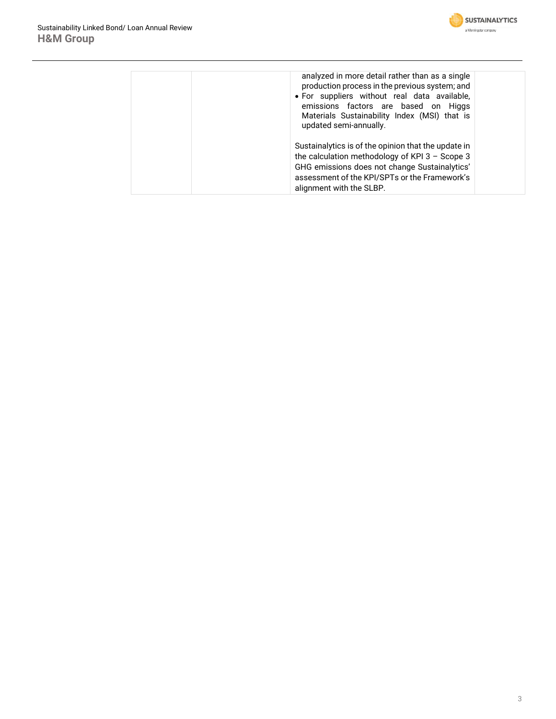

| analyzed in more detail rather than as a single<br>production process in the previous system; and<br>• For suppliers without real data available,<br>emissions factors are based on Higgs<br>Materials Sustainability Index (MSI) that is<br>updated semi-annually. |
|---------------------------------------------------------------------------------------------------------------------------------------------------------------------------------------------------------------------------------------------------------------------|
| Sustainalytics is of the opinion that the update in<br>the calculation methodology of KPI $3 -$ Scope 3<br>GHG emissions does not change Sustainalytics'<br>assessment of the KPI/SPTs or the Framework's<br>alignment with the SLBP.                               |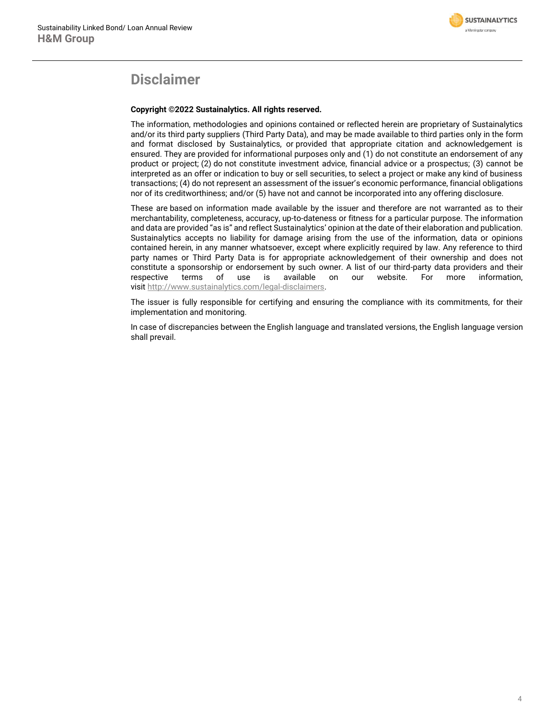

### **Disclaimer**

#### **Copyright ©2022 Sustainalytics. All rights reserved.**

The information, methodologies and opinions contained or reflected herein are proprietary of Sustainalytics and/or its third party suppliers (Third Party Data), and may be made available to third parties only in the form and format disclosed by Sustainalytics, or provided that appropriate citation and acknowledgement is ensured. They are provided for informational purposes only and (1) do not constitute an endorsement of any product or project; (2) do not constitute investment advice, financial advice or a prospectus; (3) cannot be interpreted as an offer or indication to buy or sell securities, to select a project or make any kind of business transactions; (4) do not represent an assessment of the issuer's economic performance, financial obligations nor of its creditworthiness; and/or (5) have not and cannot be incorporated into any offering disclosure.

These are based on information made available by the issuer and therefore are not warranted as to their merchantability, completeness, accuracy, up-to-dateness or fitness for a particular purpose. The information and data are provided "as is" and reflect Sustainalytics' opinion at the date of their elaboration and publication. Sustainalytics accepts no liability for damage arising from the use of the information, data or opinions contained herein, in any manner whatsoever, except where explicitly required by law. Any reference to third party names or Third Party Data is for appropriate acknowledgement of their ownership and does not constitute a sponsorship or endorsement by such owner. A list of our third-party data providers and their respective terms of use is available on our website. For more information, visit [http://www.sustainalytics.com/legal-disclaimers.](http://www.sustainalytics.com/legal-disclaimers)

The issuer is fully responsible for certifying and ensuring the compliance with its commitments, for their implementation and monitoring.

In case of discrepancies between the English language and translated versions, the English language version shall prevail.